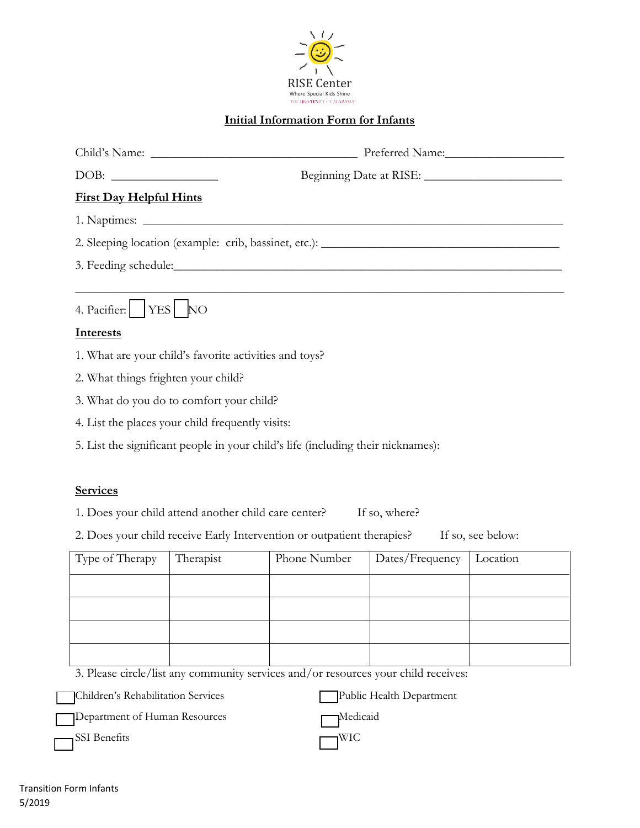

### **Initial Information Form for Infants**

| <b>First Day Helpful Hints</b>                                                   |                                                                                   |
|----------------------------------------------------------------------------------|-----------------------------------------------------------------------------------|
|                                                                                  |                                                                                   |
|                                                                                  | 2. Sleeping location (example: crib, bassinet, etc.): ___________________________ |
|                                                                                  | 3. Feeding schedule:                                                              |
|                                                                                  | ,我们也不能在这里的时候,我们也不能在这里的时候,我们也不能在这里的时候,我们也不能会在这里的时候,我们也不能会在这里的时候,我们也不能会在这里的时候,我们也不能 |
| 4. Pacifier: $ $   YES   NO                                                      |                                                                                   |
| <b>Interests</b>                                                                 |                                                                                   |
| 1. What are your child's favorite activities and toys?                           |                                                                                   |
| 2. What things frighten your child?                                              |                                                                                   |
| 3. What do you do to comfort your child?                                         |                                                                                   |
| 4. List the places your child frequently visits:                                 |                                                                                   |
| 5. List the significant people in your child's life (including their nicknames): |                                                                                   |
|                                                                                  |                                                                                   |
| <b>Services</b>                                                                  |                                                                                   |

1. Does your child attend another child care center? If so, where?

2. Does your child receive Early Intervention or outpatient therapies? If so, see below:

| Type of Therapy | Therapist | Phone Number | Dates/Frequency | Location |
|-----------------|-----------|--------------|-----------------|----------|
|                 |           |              |                 |          |
|                 |           |              |                 |          |
|                 |           |              |                 |          |
|                 |           |              |                 |          |

3. Please circle/list any community services and/or resources your child receives:

TChildren's Rehabilitation Services Public Health Department

The partment of Human Resources Theorem Medicaid

SSI Benefits WIC